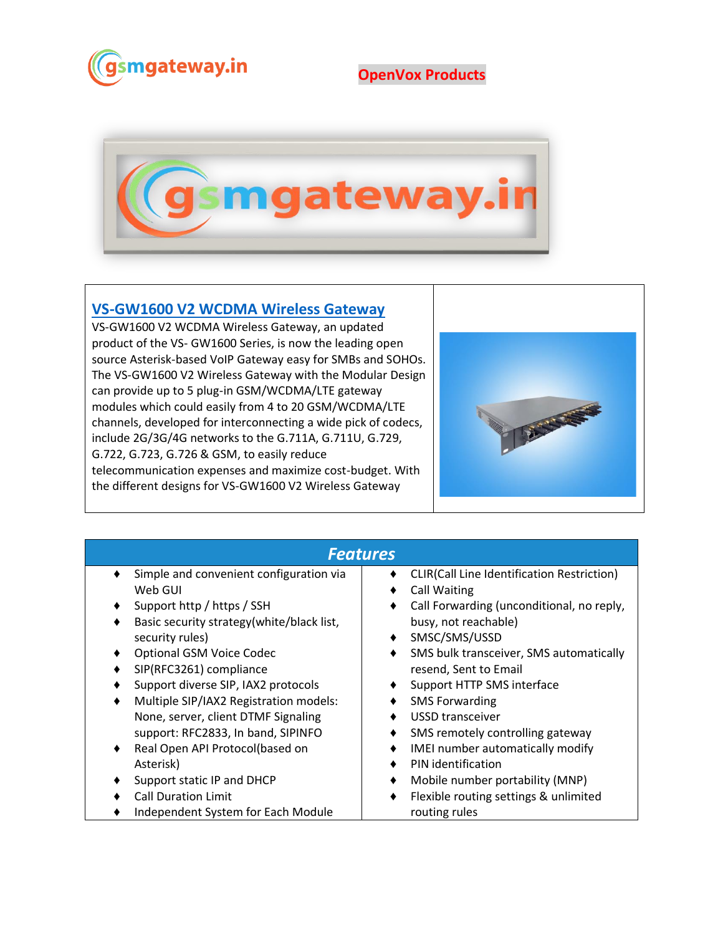

## **OpenVox Products**



## **[VS-GW1600 V2 WCDMA Wireless Gateway](https://www.gsmgateway.in/openvox/VS-GW1600-V2-WCDMA-Wireless-Gateway.html)**

VS-GW1600 V2 WCDMA Wireless Gateway, an updated product of the VS- GW1600 Series, is now the leading open source Asterisk-based VoIP Gateway easy for SMBs and SOHOs. The VS-GW1600 V2 Wireless Gateway with the Modular Design can provide up to 5 plug-in GSM/WCDMA/LTE gateway modules which could easily from 4 to 20 GSM/WCDMA/LTE channels, developed for interconnecting a wide pick of codecs, include 2G/3G/4G networks to the G.711A, G.711U, G.729, G.722, G.723, G.726 & GSM, to easily reduce telecommunication expenses and maximize cost-budget. With the different designs for VS-GW1600 V2 Wireless Gateway



| <b>Features</b>                             |                                                   |  |  |  |  |
|---------------------------------------------|---------------------------------------------------|--|--|--|--|
| Simple and convenient configuration via     | <b>CLIR(Call Line Identification Restriction)</b> |  |  |  |  |
| Web GUI                                     | <b>Call Waiting</b><br>٠                          |  |  |  |  |
| Support http / https / SSH<br>٠             | Call Forwarding (unconditional, no reply,         |  |  |  |  |
| Basic security strategy(white/black list,   | busy, not reachable)                              |  |  |  |  |
| security rules)                             | SMSC/SMS/USSD                                     |  |  |  |  |
| <b>Optional GSM Voice Codec</b>             | SMS bulk transceiver, SMS automatically           |  |  |  |  |
| SIP(RFC3261) compliance<br>٠                | resend, Sent to Email                             |  |  |  |  |
| Support diverse SIP, IAX2 protocols         | Support HTTP SMS interface                        |  |  |  |  |
| Multiple SIP/IAX2 Registration models:<br>٠ | <b>SMS Forwarding</b>                             |  |  |  |  |
| None, server, client DTMF Signaling         | USSD transceiver                                  |  |  |  |  |
| support: RFC2833, In band, SIPINFO          | SMS remotely controlling gateway                  |  |  |  |  |
| Real Open API Protocol(based on<br>٠        | IMEI number automatically modify                  |  |  |  |  |
| Asterisk)                                   | PIN identification<br>٠                           |  |  |  |  |
| Support static IP and DHCP                  | Mobile number portability (MNP)<br>٠              |  |  |  |  |
| <b>Call Duration Limit</b>                  | Flexible routing settings & unlimited             |  |  |  |  |
| Independent System for Each Module          | routing rules                                     |  |  |  |  |